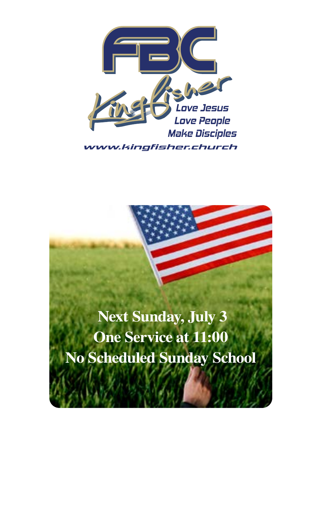

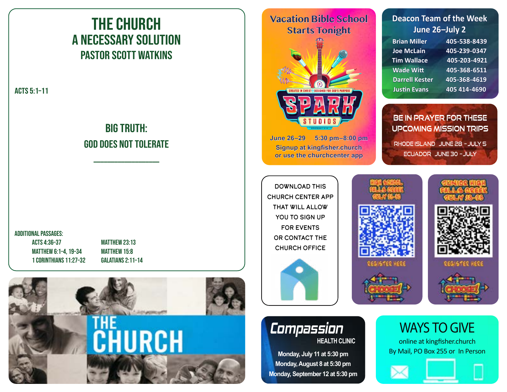# THE CHURCH A Necessary Solution PASTOR SCOTT WATKINS

ACTS 5:1–11

## BIG TRUTH: God Does not tolerate

\_\_\_\_\_\_\_\_\_\_\_\_\_\_\_\_\_\_\_

#### ADDITIONAL PASSAGES:

ACTS 4:36–37 MATTHEW 23:13 MATTHEW 6:1–4, 19–34 MATTHEW 15:8 1 CORINTHIANS 11:27–32 GALATIANS 2:11–14



### **Vacation Bible School Starts Tonight**



**June 26–29 5:30 pm–8:00 pm Signup at kingfisher.church or use the churchcenter app**

Download This Church Center App That Will Allow YOU TO SIGN UP For Events or Contact The Church Office



### **HEALTH CLINIC** *Compassion*

**Monday, July 11 at 5:30 pm Monday, August 8 at 5:30 pm Monday, September 12 at 5:30 pm**

### **Deacon Team of the Week June 26–July 2**

| <b>Brian Miller</b>   | 405-538-8439 |
|-----------------------|--------------|
| <b>Joe McLain</b>     | 405-239-0347 |
| <b>Tim Wallace</b>    | 405-203-4921 |
| <b>Wade Witt</b>      | 405-368-6511 |
| <b>Darrell Kester</b> | 405-368-4619 |
| <b>Justin Evans</b>   | 405 414-4690 |

**Be in prayer for these Upcoming Mission Trips** Rhode Island June 28 – July 5 Ecuador June 30 – July